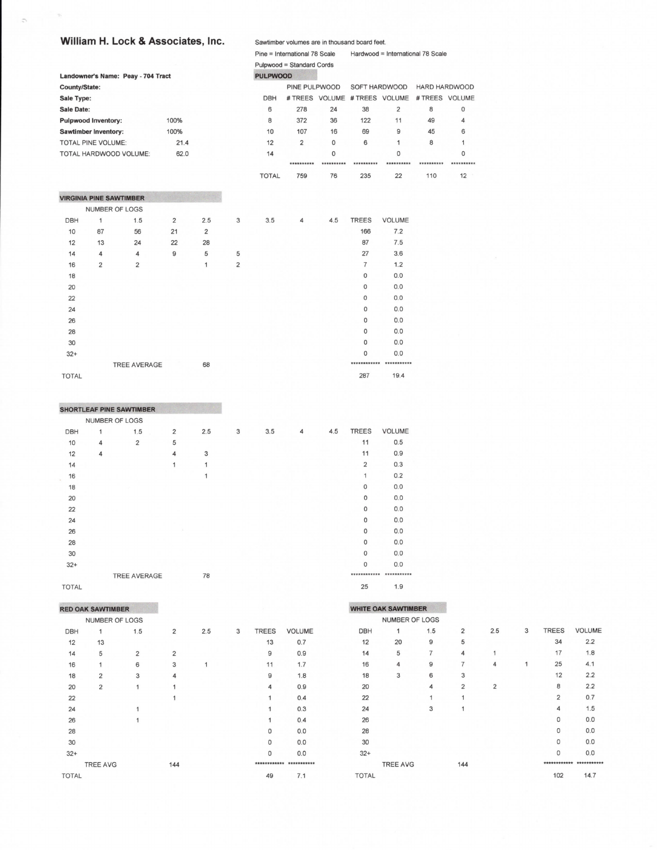## William H. Lock & Associates, Inc.

es are in thousand board feet Saudi hor volum

|                      |                                | <b>WILDOW IT LOCK &amp; ASSOCIATES, ITC.</b> |                |     |                | <b>Sawilliper volumes are in tribusario board reet.</b> |                               |             |                               |                |                                   |            |  |
|----------------------|--------------------------------|----------------------------------------------|----------------|-----|----------------|---------------------------------------------------------|-------------------------------|-------------|-------------------------------|----------------|-----------------------------------|------------|--|
|                      |                                |                                              |                |     |                |                                                         | Pine = International 78 Scale |             |                               |                | Hardwood = International 78 Scale |            |  |
|                      |                                |                                              |                |     |                |                                                         | Pulpwood = Standard Cords     |             |                               |                |                                   |            |  |
|                      |                                | Landowner's Name: Peay - 704 Tract           |                |     |                | <b>PULPWOOD</b>                                         |                               |             |                               |                |                                   |            |  |
| <b>County/State:</b> |                                |                                              |                |     |                |                                                         | PINE PULPWOOD                 |             | SOFT HARDWOOD                 |                | <b>HARD HARDWOOD</b>              |            |  |
| Sale Type:           |                                |                                              |                |     |                | <b>DBH</b>                                              |                               |             | # TREES VOLUME # TREES VOLUME |                | # TREES VOLUME                    |            |  |
| Sale Date:           |                                |                                              |                |     |                | 6                                                       | 278                           | 24          | 38                            | $\overline{2}$ | 8                                 | 0          |  |
|                      | <b>Pulpwood Inventory:</b>     |                                              | 100%           |     |                | 8                                                       | 372                           | 36          | 122                           | 11             | 49                                | 4          |  |
|                      | <b>Sawtimber Inventory:</b>    |                                              | 100%           |     |                | 10                                                      | 107                           | 16          | 69                            | 9              | 45                                | 6          |  |
|                      | <b>TOTAL PINE VOLUME:</b>      |                                              | 21.4           |     |                | 12                                                      | $\overline{2}$                | $\mathbf 0$ | 6                             | $\mathbf{1}$   | 8                                 | 1          |  |
|                      |                                | TOTAL HARDWOOD VOLUME:                       | 62.0           |     |                | 14                                                      |                               | $\Omega$    |                               | $\Omega$       |                                   | $\circ$    |  |
|                      |                                |                                              |                |     |                |                                                         | **********                    | **********  | **********                    | **********     | **********                        | ********** |  |
|                      |                                |                                              |                |     |                | <b>TOTAL</b>                                            | 759                           | 76          | 235                           | 22             | 110                               | 12         |  |
|                      | <b>VIRGINIA PINE SAWTIMBER</b> |                                              |                |     |                |                                                         |                               |             |                               |                |                                   |            |  |
|                      | NUMBER OF LOGS                 |                                              |                |     |                |                                                         |                               |             |                               |                |                                   |            |  |
| <b>DBH</b>           | 1                              | 1.5                                          | $\overline{2}$ | 2.5 | 3              | 3.5                                                     | 4                             | 4.5         | <b>TREES</b>                  | <b>VOLUME</b>  |                                   |            |  |
| 10                   | 87                             | 56                                           | 21             | 2   |                |                                                         |                               |             | 166                           | 7.2            |                                   |            |  |
| 12                   | 13                             | 24                                           | 22             | 28  |                |                                                         |                               |             | 87                            | 7.5            |                                   |            |  |
| 14                   | 4                              | $\overline{4}$                               | 9              | 5   | 5              |                                                         |                               |             | 27                            | 3.6            |                                   |            |  |
| 16                   | $\overline{2}$                 | $\overline{2}$                               |                | 1   | $\overline{2}$ |                                                         |                               |             | $\overline{7}$                | 1.2            |                                   |            |  |
| 18                   |                                |                                              |                |     |                |                                                         |                               |             | $\mathbf{O}$                  | 0.0            |                                   |            |  |
| 20                   |                                |                                              |                |     |                |                                                         |                               |             | 0                             | 0.0            |                                   |            |  |
| 22                   |                                |                                              |                |     |                |                                                         |                               |             | 0                             | 0.0            |                                   |            |  |
| 24                   |                                |                                              |                |     |                |                                                         |                               |             | $\circ$                       | 0.0            |                                   |            |  |
| 26                   |                                |                                              |                |     |                |                                                         |                               |             | $\mathbf 0$                   | 0.0            |                                   |            |  |
| 28                   |                                |                                              |                |     |                |                                                         |                               |             | $\circ$                       | 0.0            |                                   |            |  |
| 30                   |                                |                                              |                |     |                |                                                         |                               |             | $\mathbf 0$                   | 0.0            |                                   |            |  |
| $32+$                |                                |                                              |                |     |                |                                                         |                               |             | $\Omega$                      | 0.0            |                                   |            |  |
|                      |                                | <b>TREE AVERAGE</b>                          |                | 68  |                |                                                         |                               |             | ************                  | ***********    |                                   |            |  |
| <b>TOTAL</b>         |                                |                                              |                |     |                |                                                         |                               |             | 287                           | 19.4           |                                   |            |  |

|              |                | <b>SHORTLEAF PINE SAWTIMBER</b> |                |     |   |     |   |     |                |               |
|--------------|----------------|---------------------------------|----------------|-----|---|-----|---|-----|----------------|---------------|
|              |                | NUMBER OF LOGS                  |                |     |   |     |   |     |                |               |
| DBH          | 1              | 1.5                             | $\overline{2}$ | 2.5 | 3 | 3.5 | 4 | 4.5 | <b>TREES</b>   | <b>VOLUME</b> |
| 10           | $\overline{4}$ | $\overline{2}$                  | 5              |     |   |     |   |     | 11             | 0.5           |
| 12           | $\overline{4}$ |                                 | 4              | 3   |   |     |   |     | 11             | 0.9           |
| 14           |                |                                 | 1              | 1   |   |     |   |     | $\overline{2}$ | 0.3           |
| 16           |                |                                 |                | 1   |   |     |   |     | 1              | 0.2           |
| 18           |                |                                 |                |     |   |     |   |     | $\mathsf{O}$   | 0.0           |
| 20           |                |                                 |                |     |   |     |   |     | $\circ$        | 0.0           |
| 22           |                |                                 |                |     |   |     |   |     | $\circ$        | 0.0           |
| 24           |                |                                 |                |     |   |     |   |     | $\mathbf 0$    | 0.0           |
| 26           |                |                                 |                |     |   |     |   |     | 0              | 0.0           |
| 28           |                |                                 |                |     |   |     |   |     | $\circ$        | 0.0           |
| 30           |                |                                 |                |     |   |     |   |     | $\mathbf 0$    | 0.0           |
| $32+$        |                |                                 |                |     |   |     |   |     | $\mathbf 0$    | 0.0           |
|              |                | <b>TREE AVERAGE</b>             |                | 78  |   |     |   |     |                |               |
| <b>TOTAL</b> |                |                                 |                |     |   |     |   |     | 25             | 1.9           |

| <b>RED OAK SAWTIMBER</b> |  |                |
|--------------------------|--|----------------|
|                          |  | NUMBER OF LOGS |

|              | NUMBER OF LOGS  |                |                         |     |   |              |               |  |
|--------------|-----------------|----------------|-------------------------|-----|---|--------------|---------------|--|
| <b>DBH</b>   | 1               | 1.5            | $\overline{\mathbf{c}}$ | 2.5 | 3 | <b>TREES</b> | <b>VOLUME</b> |  |
| 12           | 13              |                |                         |     |   | 13           | 0.7           |  |
| 14           | 5               | $\overline{2}$ | $\overline{2}$          |     |   | 9            | 0.9           |  |
| 16           | 1               | 6              | 3                       | 1   |   | 11           | 1.7           |  |
| 18           | $\overline{2}$  | 3              | 4                       |     |   | 9            | 1.8           |  |
| 20           | $\overline{2}$  | 1              | 1                       |     |   | 4            | 0.9           |  |
| 22           |                 |                | 1                       |     |   | 1            | 0.4           |  |
| 24           |                 | 1              |                         |     |   | 1            | 0.3           |  |
| 26           |                 | 1              |                         |     |   | 1            | 0.4           |  |
| 28           |                 |                |                         |     |   | 0            | 0.0           |  |
| 30           |                 |                |                         |     |   | 0            | 0.0           |  |
| $32+$        |                 |                |                         |     |   | 0            | 0.0           |  |
|              | <b>TREE AVG</b> |                | 144                     |     |   | ************ | ***********   |  |
| <b>TOTAL</b> |                 |                |                         |     |   | 49           | 7.1           |  |
|              |                 |                |                         |     |   |              |               |  |

|              | <b>WHITE OAK SAWTIMBER</b> |                |                |                |   |                |               |
|--------------|----------------------------|----------------|----------------|----------------|---|----------------|---------------|
|              | NUMBER OF LOGS             |                |                |                |   |                |               |
| <b>DBH</b>   | $\mathbf{1}$               | 1.5            | $\overline{2}$ | 2.5            | 3 | <b>TREES</b>   | <b>VOLUME</b> |
| 12           | 20                         | 9              | 5              |                |   | 34             | 2.2           |
| 14           | 5                          | $\overline{7}$ | $\overline{4}$ | 1              |   | 17             | 1.8           |
| 16           | 4                          | 9              | $\overline{7}$ | $\overline{4}$ | 1 | 25             | 4.1           |
| 18           | 3                          | 6              | 3              |                |   | 12             | 2.2           |
| 20           |                            | $\overline{4}$ | $\overline{2}$ | $\overline{2}$ |   | 8              | 2.2           |
| 22           |                            | 1              | 1              |                |   | $\overline{2}$ | 0.7           |
| 24           |                            | 3              | 1              |                |   | 4              | 1.5           |
| 26           |                            |                |                |                |   | 0              | 0.0           |
| 28           |                            |                |                |                |   | 0              | 0.0           |
| 30           |                            |                |                |                |   | 0              | 0.0           |
| $32+$        |                            |                |                |                |   | $\Omega$       | 0.0           |
|              | <b>TREE AVG</b>            |                | 144            |                |   |                |               |
| <b>TOTAL</b> |                            |                |                |                |   | 102            | 14.7          |